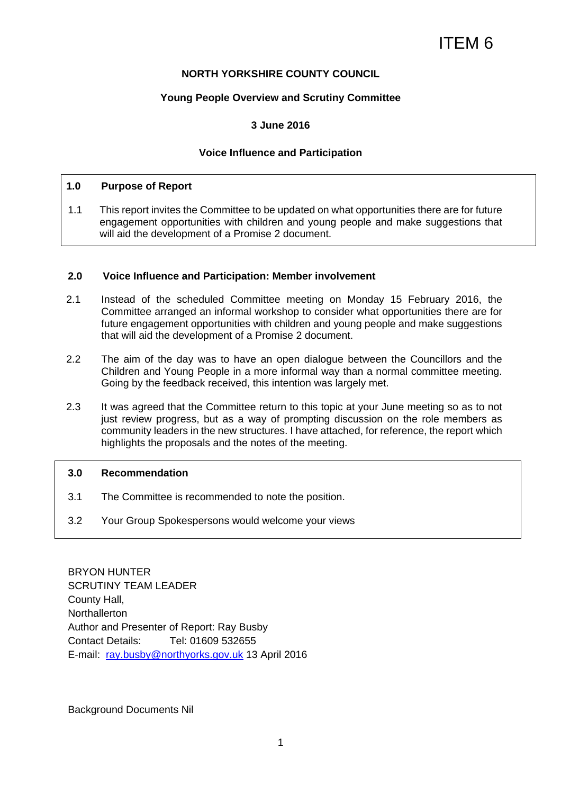# ITEM 6

## **NORTH YORKSHIRE COUNTY COUNCIL**

## **Young People Overview and Scrutiny Committee**

## **3 June 2016**

## **Voice Influence and Participation**

## **1.0 Purpose of Report**

1.1 This report invites the Committee to be updated on what opportunities there are for future engagement opportunities with children and young people and make suggestions that will aid the development of a Promise 2 document.

## **2.0 Voice Influence and Participation: Member involvement**

- 2.1 Instead of the scheduled Committee meeting on Monday 15 February 2016, the Committee arranged an informal workshop to consider what opportunities there are for future engagement opportunities with children and young people and make suggestions that will aid the development of a Promise 2 document.
- 2.2 The aim of the day was to have an open dialogue between the Councillors and the Children and Young People in a more informal way than a normal committee meeting. Going by the feedback received, this intention was largely met.
- 2.3 It was agreed that the Committee return to this topic at your June meeting so as to not just review progress, but as a way of prompting discussion on the role members as community leaders in the new structures. I have attached, for reference, the report which highlights the proposals and the notes of the meeting.

#### **3.0 Recommendation**

- 3.1 The Committee is recommended to note the position.
- 3.2 Your Group Spokespersons would welcome your views

BRYON HUNTER SCRUTINY TEAM LEADER County Hall, **Northallerton** Author and Presenter of Report: Ray Busby Contact Details: Tel: 01609 532655 E-mail: ray.busby@northyorks.gov.uk 13 April 2016

Background Documents Nil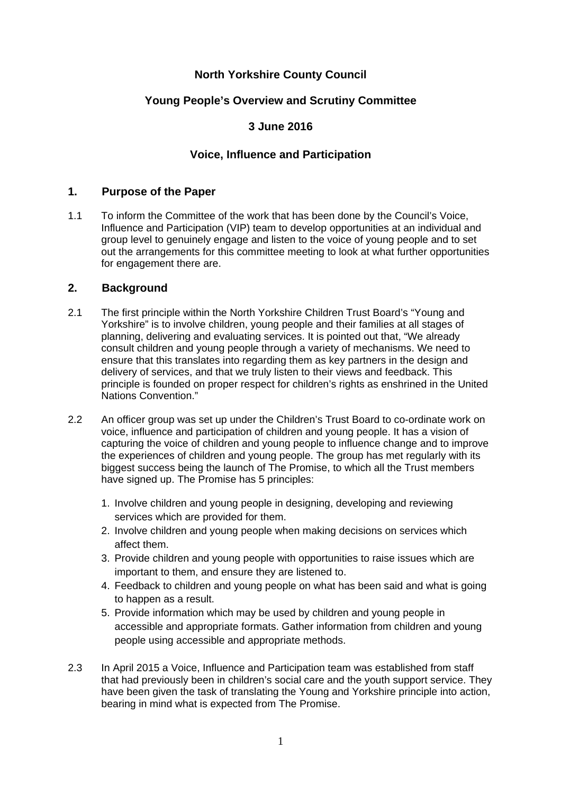# **North Yorkshire County Council**

# **Young People's Overview and Scrutiny Committee**

# **3 June 2016**

# **Voice, Influence and Participation**

## **1. Purpose of the Paper**

1.1 To inform the Committee of the work that has been done by the Council's Voice, Influence and Participation (VIP) team to develop opportunities at an individual and group level to genuinely engage and listen to the voice of young people and to set out the arrangements for this committee meeting to look at what further opportunities for engagement there are.

## **2. Background**

- 2.1 The first principle within the North Yorkshire Children Trust Board's "Young and Yorkshire" is to involve children, young people and their families at all stages of planning, delivering and evaluating services. It is pointed out that, "We already consult children and young people through a variety of mechanisms. We need to ensure that this translates into regarding them as key partners in the design and delivery of services, and that we truly listen to their views and feedback. This principle is founded on proper respect for children's rights as enshrined in the United Nations Convention."
- 2.2 An officer group was set up under the Children's Trust Board to co-ordinate work on voice, influence and participation of children and young people. It has a vision of capturing the voice of children and young people to influence change and to improve the experiences of children and young people. The group has met regularly with its biggest success being the launch of The Promise, to which all the Trust members have signed up. The Promise has 5 principles:
	- 1. Involve children and young people in designing, developing and reviewing services which are provided for them.
	- 2. Involve children and young people when making decisions on services which affect them.
	- 3. Provide children and young people with opportunities to raise issues which are important to them, and ensure they are listened to.
	- 4. Feedback to children and young people on what has been said and what is going to happen as a result.
	- 5. Provide information which may be used by children and young people in accessible and appropriate formats. Gather information from children and young people using accessible and appropriate methods.
- 2.3 In April 2015 a Voice, Influence and Participation team was established from staff that had previously been in children's social care and the youth support service. They have been given the task of translating the Young and Yorkshire principle into action, bearing in mind what is expected from The Promise.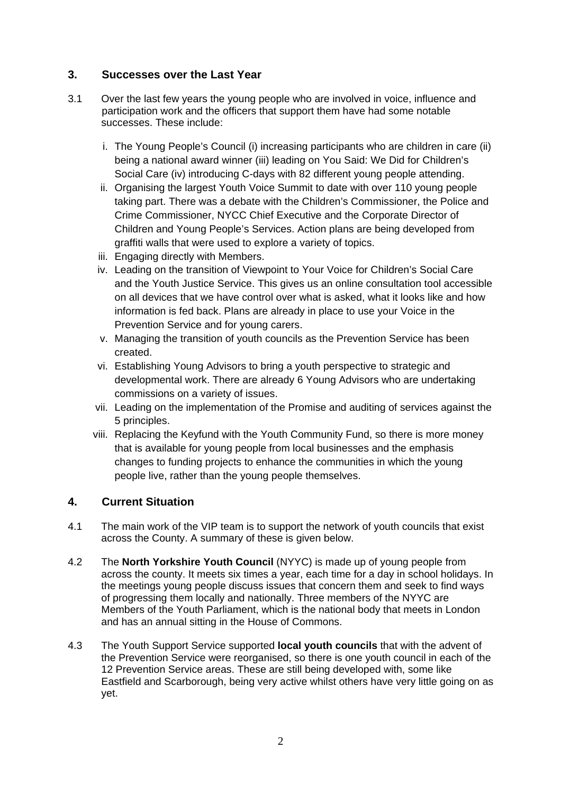# **3. Successes over the Last Year**

- 3.1 Over the last few years the young people who are involved in voice, influence and participation work and the officers that support them have had some notable successes. These include:
	- i. The Young People's Council (i) increasing participants who are children in care (ii) being a national award winner (iii) leading on You Said: We Did for Children's Social Care (iv) introducing C-days with 82 different young people attending.
	- ii. Organising the largest Youth Voice Summit to date with over 110 young people taking part. There was a debate with the Children's Commissioner, the Police and Crime Commissioner, NYCC Chief Executive and the Corporate Director of Children and Young People's Services. Action plans are being developed from graffiti walls that were used to explore a variety of topics.
	- iii. Engaging directly with Members.
	- iv. Leading on the transition of Viewpoint to Your Voice for Children's Social Care and the Youth Justice Service. This gives us an online consultation tool accessible on all devices that we have control over what is asked, what it looks like and how information is fed back. Plans are already in place to use your Voice in the Prevention Service and for young carers.
	- v. Managing the transition of youth councils as the Prevention Service has been created.
	- vi. Establishing Young Advisors to bring a youth perspective to strategic and developmental work. There are already 6 Young Advisors who are undertaking commissions on a variety of issues.
	- vii. Leading on the implementation of the Promise and auditing of services against the 5 principles.
	- viii. Replacing the Keyfund with the Youth Community Fund, so there is more money that is available for young people from local businesses and the emphasis changes to funding projects to enhance the communities in which the young people live, rather than the young people themselves.

# **4. Current Situation**

- 4.1 The main work of the VIP team is to support the network of youth councils that exist across the County. A summary of these is given below.
- 4.2 The **North Yorkshire Youth Council** (NYYC) is made up of young people from across the county. It meets six times a year, each time for a day in school holidays. In the meetings young people discuss issues that concern them and seek to find ways of progressing them locally and nationally. Three members of the NYYC are Members of the Youth Parliament, which is the national body that meets in London and has an annual sitting in the House of Commons.
- 4.3 The Youth Support Service supported **local youth councils** that with the advent of the Prevention Service were reorganised, so there is one youth council in each of the 12 Prevention Service areas. These are still being developed with, some like Eastfield and Scarborough, being very active whilst others have very little going on as yet.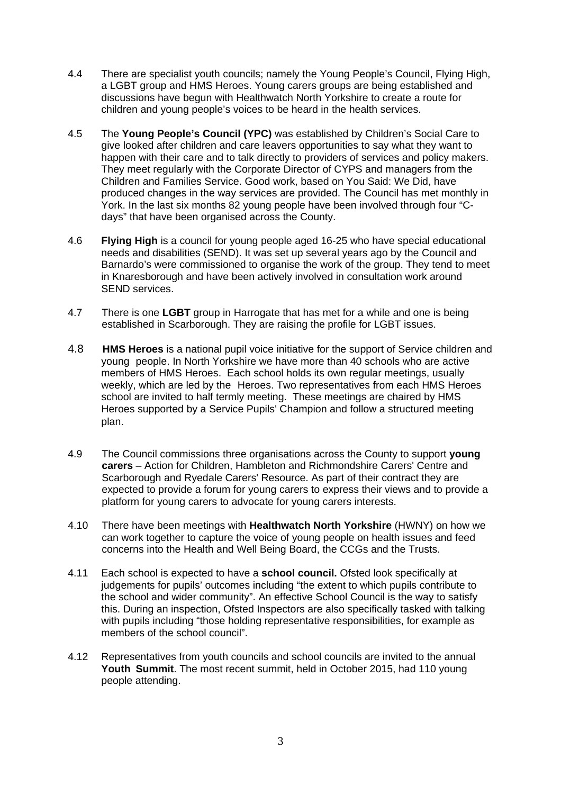- 4.4 There are specialist youth councils; namely the Young People's Council, Flying High, a LGBT group and HMS Heroes. Young carers groups are being established and discussions have begun with Healthwatch North Yorkshire to create a route for children and young people's voices to be heard in the health services.
- 4.5 The **Young People's Council (YPC)** was established by Children's Social Care to give looked after children and care leavers opportunities to say what they want to happen with their care and to talk directly to providers of services and policy makers. They meet regularly with the Corporate Director of CYPS and managers from the Children and Families Service. Good work, based on You Said: We Did, have produced changes in the way services are provided. The Council has met monthly in York. In the last six months 82 young people have been involved through four "Cdays" that have been organised across the County.
- 4.6 **Flying High** is a council for young people aged 16-25 who have special educational needs and disabilities (SEND). It was set up several years ago by the Council and Barnardo's were commissioned to organise the work of the group. They tend to meet in Knaresborough and have been actively involved in consultation work around SEND services.
- 4.7 There is one **LGBT** group in Harrogate that has met for a while and one is being established in Scarborough. They are raising the profile for LGBT issues.
- 4.8 **HMS Heroes** is a national pupil voice initiative for the support of Service children and young people. In North Yorkshire we have more than 40 schools who are active members of HMS Heroes. Each school holds its own regular meetings, usually weekly, which are led by the Heroes. Two representatives from each HMS Heroes school are invited to half termly meeting. These meetings are chaired by HMS Heroes supported by a Service Pupils' Champion and follow a structured meeting plan.
- 4.9 The Council commissions three organisations across the County to support **young carers** – Action for Children, Hambleton and Richmondshire Carers' Centre and Scarborough and Ryedale Carers' Resource. As part of their contract they are expected to provide a forum for young carers to express their views and to provide a platform for young carers to advocate for young carers interests.
- 4.10 There have been meetings with **Healthwatch North Yorkshire** (HWNY) on how we can work together to capture the voice of young people on health issues and feed concerns into the Health and Well Being Board, the CCGs and the Trusts.
- 4.11 Each school is expected to have a **school council.** Ofsted look specifically at judgements for pupils' outcomes including "the extent to which pupils contribute to the school and wider community". An effective School Council is the way to satisfy this. During an inspection, Ofsted Inspectors are also specifically tasked with talking with pupils including "those holding representative responsibilities, for example as members of the school council".
- 4.12 Representatives from youth councils and school councils are invited to the annual **Youth Summit**. The most recent summit, held in October 2015, had 110 young people attending.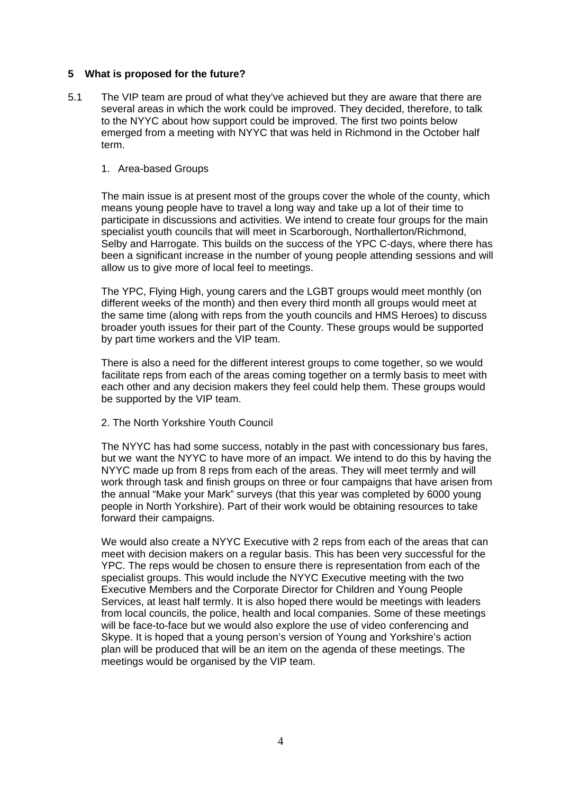## **5 What is proposed for the future?**

5.1 The VIP team are proud of what they've achieved but they are aware that there are several areas in which the work could be improved. They decided, therefore, to talk to the NYYC about how support could be improved. The first two points below emerged from a meeting with NYYC that was held in Richmond in the October half term.

#### 1. Area-based Groups

 The main issue is at present most of the groups cover the whole of the county, which means young people have to travel a long way and take up a lot of their time to participate in discussions and activities. We intend to create four groups for the main specialist youth councils that will meet in Scarborough, Northallerton/Richmond, Selby and Harrogate. This builds on the success of the YPC C-days, where there has been a significant increase in the number of young people attending sessions and will allow us to give more of local feel to meetings.

 The YPC, Flying High, young carers and the LGBT groups would meet monthly (on different weeks of the month) and then every third month all groups would meet at the same time (along with reps from the youth councils and HMS Heroes) to discuss broader youth issues for their part of the County. These groups would be supported by part time workers and the VIP team.

 There is also a need for the different interest groups to come together, so we would facilitate reps from each of the areas coming together on a termly basis to meet with each other and any decision makers they feel could help them. These groups would be supported by the VIP team.

2. The North Yorkshire Youth Council

 The NYYC has had some success, notably in the past with concessionary bus fares, but we want the NYYC to have more of an impact. We intend to do this by having the NYYC made up from 8 reps from each of the areas. They will meet termly and will work through task and finish groups on three or four campaigns that have arisen from the annual "Make your Mark" surveys (that this year was completed by 6000 young people in North Yorkshire). Part of their work would be obtaining resources to take forward their campaigns.

 We would also create a NYYC Executive with 2 reps from each of the areas that can meet with decision makers on a regular basis. This has been very successful for the YPC. The reps would be chosen to ensure there is representation from each of the specialist groups. This would include the NYYC Executive meeting with the two Executive Members and the Corporate Director for Children and Young People Services, at least half termly. It is also hoped there would be meetings with leaders from local councils, the police, health and local companies. Some of these meetings will be face-to-face but we would also explore the use of video conferencing and Skype. It is hoped that a young person's version of Young and Yorkshire's action plan will be produced that will be an item on the agenda of these meetings. The meetings would be organised by the VIP team.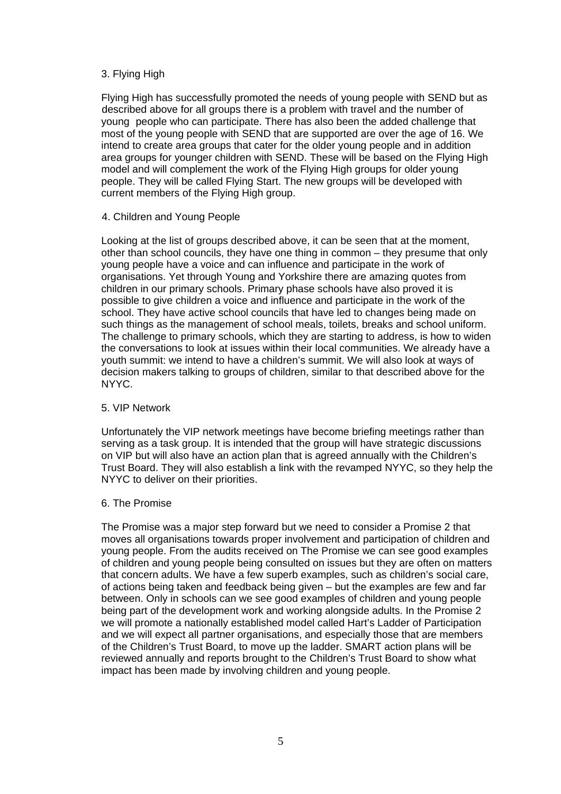## 3. Flying High

 Flying High has successfully promoted the needs of young people with SEND but as described above for all groups there is a problem with travel and the number of young people who can participate. There has also been the added challenge that most of the young people with SEND that are supported are over the age of 16. We intend to create area groups that cater for the older young people and in addition area groups for younger children with SEND. These will be based on the Flying High model and will complement the work of the Flying High groups for older young people. They will be called Flying Start. The new groups will be developed with current members of the Flying High group.

## 4. Children and Young People

 Looking at the list of groups described above, it can be seen that at the moment, other than school councils, they have one thing in common – they presume that only young people have a voice and can influence and participate in the work of organisations. Yet through Young and Yorkshire there are amazing quotes from children in our primary schools. Primary phase schools have also proved it is possible to give children a voice and influence and participate in the work of the school. They have active school councils that have led to changes being made on such things as the management of school meals, toilets, breaks and school uniform. The challenge to primary schools, which they are starting to address, is how to widen the conversations to look at issues within their local communities. We already have a youth summit: we intend to have a children's summit. We will also look at ways of decision makers talking to groups of children, similar to that described above for the NYYC.

#### 5. VIP Network

 Unfortunately the VIP network meetings have become briefing meetings rather than serving as a task group. It is intended that the group will have strategic discussions on VIP but will also have an action plan that is agreed annually with the Children's Trust Board. They will also establish a link with the revamped NYYC, so they help the NYYC to deliver on their priorities.

#### 6. The Promise

 The Promise was a major step forward but we need to consider a Promise 2 that moves all organisations towards proper involvement and participation of children and young people. From the audits received on The Promise we can see good examples of children and young people being consulted on issues but they are often on matters that concern adults. We have a few superb examples, such as children's social care, of actions being taken and feedback being given – but the examples are few and far between. Only in schools can we see good examples of children and young people being part of the development work and working alongside adults. In the Promise 2 we will promote a nationally established model called Hart's Ladder of Participation and we will expect all partner organisations, and especially those that are members of the Children's Trust Board, to move up the ladder. SMART action plans will be reviewed annually and reports brought to the Children's Trust Board to show what impact has been made by involving children and young people.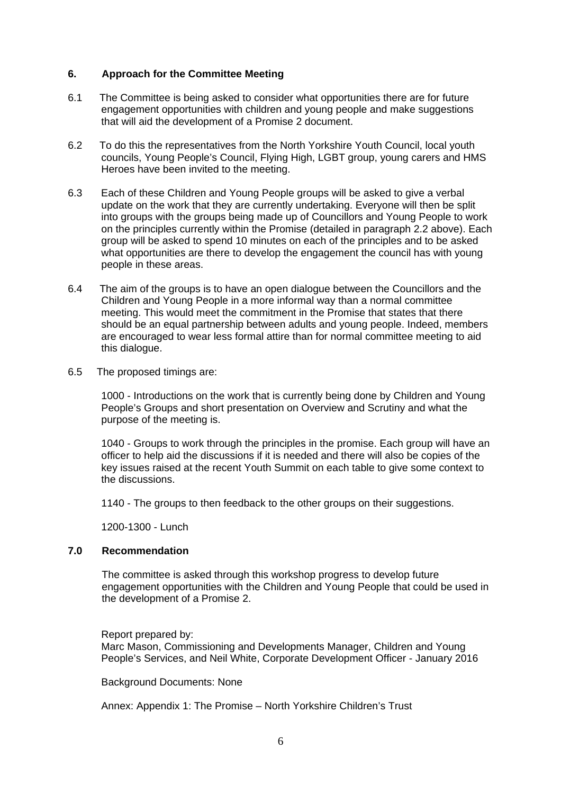## **6. Approach for the Committee Meeting**

- 6.1 The Committee is being asked to consider what opportunities there are for future engagement opportunities with children and young people and make suggestions that will aid the development of a Promise 2 document.
- 6.2 To do this the representatives from the North Yorkshire Youth Council, local youth councils, Young People's Council, Flying High, LGBT group, young carers and HMS Heroes have been invited to the meeting.
- 6.3 Each of these Children and Young People groups will be asked to give a verbal update on the work that they are currently undertaking. Everyone will then be split into groups with the groups being made up of Councillors and Young People to work on the principles currently within the Promise (detailed in paragraph 2.2 above). Each group will be asked to spend 10 minutes on each of the principles and to be asked what opportunities are there to develop the engagement the council has with young people in these areas.
- 6.4 The aim of the groups is to have an open dialogue between the Councillors and the Children and Young People in a more informal way than a normal committee meeting. This would meet the commitment in the Promise that states that there should be an equal partnership between adults and young people. Indeed, members are encouraged to wear less formal attire than for normal committee meeting to aid this dialogue.
- 6.5 The proposed timings are:

1000 - Introductions on the work that is currently being done by Children and Young People's Groups and short presentation on Overview and Scrutiny and what the purpose of the meeting is.

1040 - Groups to work through the principles in the promise. Each group will have an officer to help aid the discussions if it is needed and there will also be copies of the key issues raised at the recent Youth Summit on each table to give some context to the discussions.

1140 - The groups to then feedback to the other groups on their suggestions.

1200-1300 - Lunch

## **7.0 Recommendation**

 The committee is asked through this workshop progress to develop future engagement opportunities with the Children and Young People that could be used in the development of a Promise 2.

#### Report prepared by:

Marc Mason, Commissioning and Developments Manager, Children and Young People's Services, and Neil White, Corporate Development Officer - January 2016

Background Documents: None

Annex: Appendix 1: The Promise – North Yorkshire Children's Trust